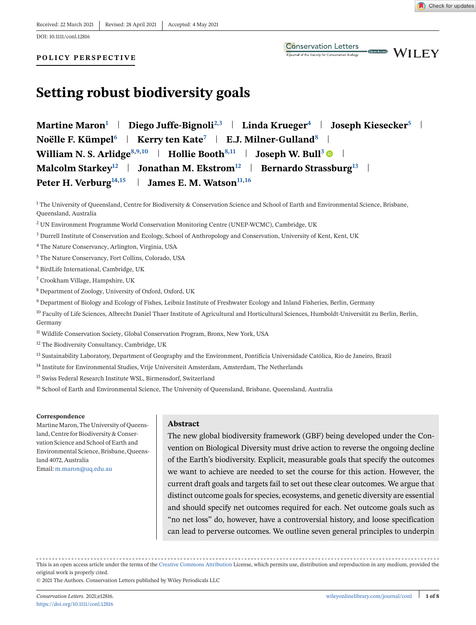DOI: 10.1111/conl.12816

#### **POLICY PERSPECTIVE**

Open Access

# **Setting robust biodiversity goals**

| Martine Maron <sup>1</sup>   Diego Juffe-Bignoli <sup>2,3</sup>   Linda Krueger <sup>4</sup>   Joseph Kiesecker <sup>5</sup> |
|------------------------------------------------------------------------------------------------------------------------------|
| Noëlle F. Kümpel <sup>6</sup>   Kerry ten Kate <sup>7</sup>   E.J. Milner-Gulland <sup>8</sup>                               |
| William N. S. Arlidge <sup>8,9,10</sup>   Hollie Booth <sup>8,11</sup>   Joseph W. Bull <sup>3</sup>                         |
| Malcolm Starkey <sup>12</sup>   Jonathan M. Ekstrom <sup>12</sup>   Bernardo Strassburg <sup>13</sup>                        |
| Peter H. Verburg <sup>14,15</sup>   James E. M. Watson <sup>11,16</sup>                                                      |

 $1$  The University of Queensland, Centre for Biodiversity & Conservation Science and School of Earth and Environmental Science, Brisbane, Queensland, Australia

<sup>2</sup> UN Environment Programme World Conservation Monitoring Centre (UNEP-WCMC), Cambridge, UK

- <sup>3</sup> Durrell Institute of Conservation and Ecology, School of Anthropology and Conservation, University of Kent, Kent, UK
- <sup>4</sup> The Nature Conservancy, Arlington, Virginia, USA
- <sup>5</sup> The Nature Conservancy, Fort Collins, Colorado, USA
- <sup>6</sup> BirdLife International, Cambridge, UK
- <sup>7</sup> Crookham Village, Hampshire, UK
- <sup>8</sup> Department of Zoology, University of Oxford, Oxford, UK
- <sup>9</sup> Department of Biology and Ecology of Fishes, Leibniz Institute of Freshwater Ecology and Inland Fisheries, Berlin, Germany
- <sup>10</sup> Faculty of Life Sciences, Albrecht Daniel Thaer Institute of Agricultural and Horticultural Sciences, Humboldt-Universität zu Berlin, Berlin, Germany
- <sup>11</sup> Wildlife Conservation Society, Global Conservation Program, Bronx, New York, USA
- <sup>12</sup> The Biodiversity Consultancy, Cambridge, UK
- <sup>13</sup> Sustainability Laboratory, Department of Geography and the Environment, Pontifícia Universidade Católica, Rio de Janeiro, Brazil
- <sup>14</sup> Institute for Environmental Studies, Vrije Universiteit Amsterdam, Amsterdam, The Netherlands
- <sup>15</sup> Swiss Federal Research Institute WSL, Birmensdorf, Switzerland
- <sup>16</sup> School of Earth and Environmental Science, The University of Queensland, Brisbane, Queensland, Australia

#### **Correspondence**

Martine Maron, The University of Queensland, Centre for Biodiversity & Conservation Science and School of Earth and Environmental Science, Brisbane, Queensland 4072, Australia Email: [m.maron@uq.edu.au](mailto:m.maron@uq.edu.au)

#### **Abstract**

The new global biodiversity framework (GBF) being developed under the Convention on Biological Diversity must drive action to reverse the ongoing decline of the Earth's biodiversity. Explicit, measurable goals that specify the outcomes we want to achieve are needed to set the course for this action. However, the current draft goals and targets fail to set out these clear outcomes. We argue that distinct outcome goals for species, ecosystems, and genetic diversity are essential and should specify net outcomes required for each. Net outcome goals such as "no net loss" do, however, have a controversial history, and loose specification can lead to perverse outcomes. We outline seven general principles to underpin

This is an open access article under the terms of the [Creative Commons Attribution](http://creativecommons.org/licenses/by/4.0/) License, which permits use, distribution and reproduction in any medium, provided the original work is properly cited.

© 2021 The Authors. Conservation Letters published by Wiley Periodicals LLC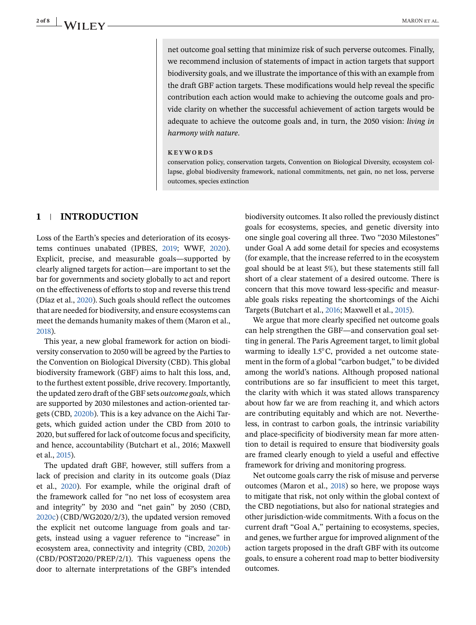net outcome goal setting that minimize risk of such perverse outcomes. Finally, we recommend inclusion of statements of impact in action targets that support biodiversity goals, and we illustrate the importance of this with an example from the draft GBF action targets. These modifications would help reveal the specific contribution each action would make to achieving the outcome goals and provide clarity on whether the successful achievement of action targets would be adequate to achieve the outcome goals and, in turn, the 2050 vision: *living in harmony with nature*.

#### **KEYWORDS**

conservation policy, conservation targets, Convention on Biological Diversity, ecosystem collapse, global biodiversity framework, national commitments, net gain, no net loss, perverse outcomes, species extinction

## **1 INTRODUCTION**

Loss of the Earth's species and deterioration of its ecosystems continues unabated (IPBES, [2019;](#page-6-0) WWF, [2020\)](#page-7-0). Explicit, precise, and measurable goals—supported by clearly aligned targets for action—are important to set the bar for governments and society globally to act and report on the effectiveness of efforts to stop and reverse this trend (Díaz et al., [2020\)](#page-6-0). Such goals should reflect the outcomes that are needed for biodiversity, and ensure ecosystems can meet the demands humanity makes of them (Maron et al., [2018\)](#page-6-0).

This year, a new global framework for action on biodiversity conservation to 2050 will be agreed by the Parties to the Convention on Biological Diversity (CBD). This global biodiversity framework (GBF) aims to halt this loss, and, to the furthest extent possible, drive recovery. Importantly, the updated zero draft of the GBF sets *outcome goals*, which are supported by 2030 milestones and action-oriented targets (CBD, [2020b\)](#page-6-0). This is a key advance on the Aichi Targets, which guided action under the CBD from 2010 to 2020, but suffered for lack of outcome focus and specificity, and hence, accountability (Butchart et al., 2016; Maxwell et al., [2015\)](#page-6-0).

The updated draft GBF, however, still suffers from a lack of precision and clarity in its outcome goals (Díaz et al., [2020\)](#page-6-0). For example, while the original draft of the framework called for "no net loss of ecosystem area and integrity" by 2030 and "net gain" by 2050 (CBD, [2020c\)](#page-6-0) (CBD/WG2020/2/3), the updated version removed the explicit net outcome language from goals and targets, instead using a vaguer reference to "increase" in ecosystem area, connectivity and integrity (CBD, [2020b\)](#page-6-0) (CBD/POST2020/PREP/2/1). This vagueness opens the door to alternate interpretations of the GBF's intended

biodiversity outcomes. It also rolled the previously distinct goals for ecosystems, species, and genetic diversity into one single goal covering all three. Two "2030 Milestones" under Goal A add some detail for species and ecosystems (for example, that the increase referred to in the ecosystem goal should be at least 5%), but these statements still fall short of a clear statement of a desired outcome. There is concern that this move toward less-specific and measurable goals risks repeating the shortcomings of the Aichi Targets (Butchart et al., [2016;](#page-6-0) Maxwell et al., [2015\)](#page-6-0).

We argue that more clearly specified net outcome goals can help strengthen the GBF—and conservation goal setting in general. The Paris Agreement target, to limit global warming to ideally 1.5◦C, provided a net outcome statement in the form of a global "carbon budget," to be divided among the world's nations. Although proposed national contributions are so far insufficient to meet this target, the clarity with which it was stated allows transparency about how far we are from reaching it, and which actors are contributing equitably and which are not. Nevertheless, in contrast to carbon goals, the intrinsic variability and place-specificity of biodiversity mean far more attention to detail is required to ensure that biodiversity goals are framed clearly enough to yield a useful and effective framework for driving and monitoring progress.

Net outcome goals carry the risk of misuse and perverse outcomes (Maron et al., [2018\)](#page-6-0) so here, we propose ways to mitigate that risk, not only within the global context of the CBD negotiations, but also for national strategies and other jurisdiction-wide commitments. With a focus on the current draft "Goal A," pertaining to ecosystems, species, and genes, we further argue for improved alignment of the action targets proposed in the draft GBF with its outcome goals, to ensure a coherent road map to better biodiversity outcomes.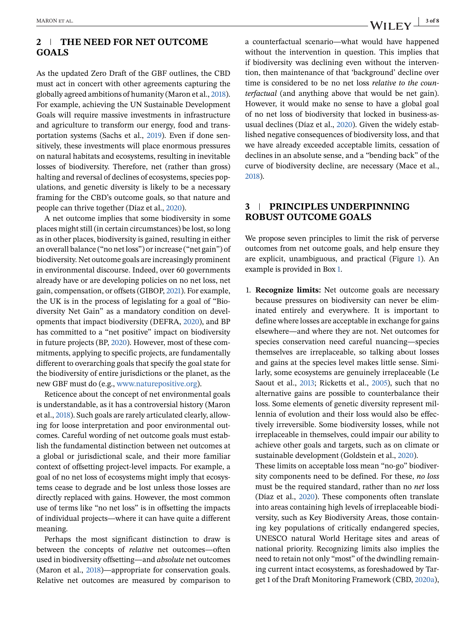## **2 THE NEED FOR NET OUTCOME GOALS**

As the updated Zero Draft of the GBF outlines, the CBD must act in concert with other agreements capturing the globally agreed ambitions of humanity (Maron et al., [2018\)](#page-6-0). For example, achieving the UN Sustainable Development Goals will require massive investments in infrastructure and agriculture to transform our energy, food and transportation systems (Sachs et al., [2019\)](#page-6-0). Even if done sensitively, these investments will place enormous pressures on natural habitats and ecosystems, resulting in inevitable losses of biodiversity. Therefore, net (rather than gross) halting and reversal of declines of ecosystems, species populations, and genetic diversity is likely to be a necessary framing for the CBD's outcome goals, so that nature and people can thrive together (Díaz et al., [2020\)](#page-6-0).

A net outcome implies that some biodiversity in some places might still (in certain circumstances) be lost, so long as in other places, biodiversity is gained, resulting in either an overall balance ("no net loss") or increase ("net gain") of biodiversity. Net outcome goals are increasingly prominent in environmental discourse. Indeed, over 60 governments already have or are developing policies on no net loss, net gain, compensation, or offsets (GIBOP, [2021\)](#page-6-0). For example, the UK is in the process of legislating for a goal of "Biodiversity Net Gain" as a mandatory condition on developments that impact biodiversity (DEFRA, [2020\)](#page-6-0), and BP has committed to a "net positive" impact on biodiversity in future projects (BP, [2020\)](#page-5-0). However, most of these commitments, applying to specific projects, are fundamentally different to overarching goals that specify the goal state for the biodiversity of entire jurisdictions or the planet, as the new GBF must do (e.g., [www.naturepositive.org\)](http://www.naturepositive.org).

Reticence about the concept of net environmental goals is understandable, as it has a controversial history (Maron et al., [2018\)](#page-6-0). Such goals are rarely articulated clearly, allowing for loose interpretation and poor environmental outcomes. Careful wording of net outcome goals must establish the fundamental distinction between net outcomes at a global or jurisdictional scale, and their more familiar context of offsetting project-level impacts. For example, a goal of no net loss of ecosystems might imply that ecosystems cease to degrade and be lost unless those losses are directly replaced with gains. However, the most common use of terms like "no net loss" is in offsetting the impacts of individual projects—where it can have quite a different meaning.

Perhaps the most significant distinction to draw is between the concepts of *relative* net outcomes—often used in biodiversity offsetting—and *absolute* net outcomes (Maron et al., [2018\)](#page-6-0)—appropriate for conservation goals. Relative net outcomes are measured by comparison to

a counterfactual scenario—what would have happened without the intervention in question. This implies that if biodiversity was declining even without the intervention, then maintenance of that 'background' decline over time is considered to be no net loss *relative to the counterfactual* (and anything above that would be net gain). However, it would make no sense to have a global goal of no net loss of biodiversity that locked in business-asusual declines (Díaz et al., [2020\)](#page-6-0). Given the widely established negative consequences of biodiversity loss, and that we have already exceeded acceptable limits, cessation of declines in an absolute sense, and a "bending back" of the curve of biodiversity decline, are necessary (Mace et al., [2018\)](#page-6-0).

## **3 PRINCIPLES UNDERPINNING ROBUST OUTCOME GOALS**

We propose seven principles to limit the risk of perverse outcomes from net outcome goals, and help ensure they are explicit, unambiguous, and practical (Figure [1\)](#page-3-0). An example is provided in Box 1.

1. **Recognize limits:** Net outcome goals are necessary because pressures on biodiversity can never be eliminated entirely and everywhere. It is important to define where losses are acceptable in exchange for gains elsewhere—and where they are not. Net outcomes for species conservation need careful nuancing—species themselves are irreplaceable, so talking about losses and gains at the species level makes little sense. Similarly, some ecosystems are genuinely irreplaceable (Le Saout et al., [2013;](#page-6-0) Ricketts et al., [2005\)](#page-6-0), such that no alternative gains are possible to counterbalance their loss. Some elements of genetic diversity represent millennia of evolution and their loss would also be effectively irreversible. Some biodiversity losses, while not irreplaceable in themselves, could impair our ability to achieve other goals and targets, such as on climate or sustainable development (Goldstein et al., [2020\)](#page-6-0).

These limits on acceptable loss mean "no-go" biodiversity components need to be defined. For these, *no loss* must be the required standard, rather than no *net* loss (Díaz et al., [2020\)](#page-6-0). These components often translate into areas containing high levels of irreplaceable biodiversity, such as Key Biodiversity Areas, those containing key populations of critically endangered species, UNESCO natural World Heritage sites and areas of national priority. Recognizing limits also implies the need to retain not only "most" of the dwindling remaining current intact ecosystems, as foreshadowed by Target 1 of the Draft Monitoring Framework (CBD, [2020a\)](#page-6-0),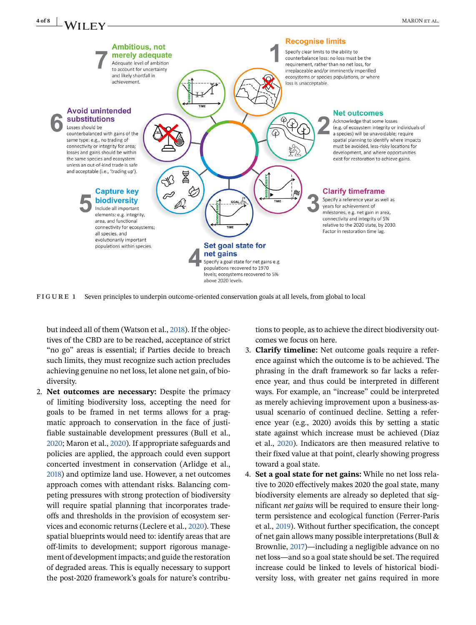

<span id="page-3-0"></span>

**FIGURE 1** Seven principles to underpin outcome-oriented conservation goals at all levels, from global to local

but indeed all of them (Watson et al., [2018\)](#page-7-0). If the objectives of the CBD are to be reached, acceptance of strict "no go" areas is essential; if Parties decide to breach such limits, they must recognize such action precludes achieving genuine no net loss, let alone net gain, of biodiversity.

2. **Net outcomes are necessary:** Despite the primacy of limiting biodiversity loss, accepting the need for goals to be framed in net terms allows for a pragmatic approach to conservation in the face of justifiable sustainable development pressures (Bull et al., [2020;](#page-6-0) Maron et al., [2020\)](#page-6-0). If appropriate safeguards and policies are applied, the approach could even support concerted investment in conservation (Arlidge et al., [2018\)](#page-5-0) and optimize land use. However, a net outcomes approach comes with attendant risks. Balancing competing pressures with strong protection of biodiversity will require spatial planning that incorporates tradeoffs and thresholds in the provision of ecosystem services and economic returns (Leclere et al., [2020\)](#page-6-0). These spatial blueprints would need to: identify areas that are off-limits to development; support rigorous management of development impacts; and guide the restoration of degraded areas. This is equally necessary to support the post-2020 framework's goals for nature's contributions to people, as to achieve the direct biodiversity outcomes we focus on here.

- 3. **Clarify timeline:** Net outcome goals require a reference against which the outcome is to be achieved. The phrasing in the draft framework so far lacks a reference year, and thus could be interpreted in different ways. For example, an "increase" could be interpreted as merely achieving improvement upon a business-asusual scenario of continued decline. Setting a reference year (e.g., 2020) avoids this by setting a static state against which increase must be achieved (Díaz et al., [2020\)](#page-6-0). Indicators are then measured relative to their fixed value at that point, clearly showing progress toward a goal state.
- 4. **Set a goal state for net gains:** While no net loss relative to 2020 effectively makes 2020 the goal state, many biodiversity elements are already so depleted that significant *net gains* will be required to ensure their longterm persistence and ecological function (Ferrer-Paris et al., [2019\)](#page-6-0). Without further specification, the concept of net gain allows many possible interpretations (Bull & Brownlie, [2017\)](#page-6-0)—including a negligible advance on no net loss—and so a goal state should be set. The required increase could be linked to levels of historical biodiversity loss, with greater net gains required in more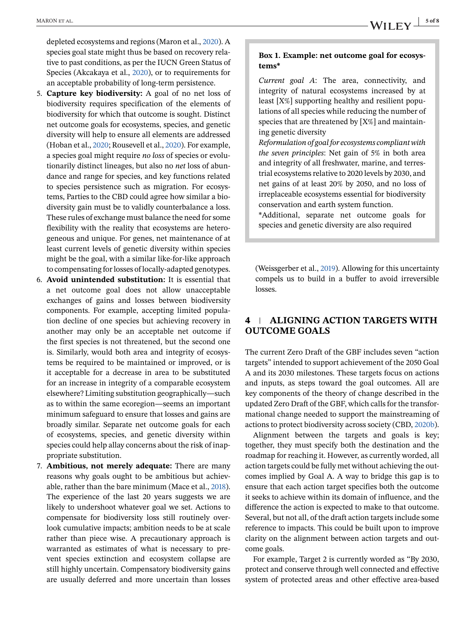depleted ecosystems and regions (Maron et al., [2020\)](#page-6-0). A species goal state might thus be based on recovery relative to past conditions, as per the IUCN Green Status of Species (Akcakaya et al., [2020\)](#page-5-0), or to requirements for an acceptable probability of long-term persistence.

- 5. **Capture key biodiversity:** A goal of no net loss of biodiversity requires specification of the elements of biodiversity for which that outcome is sought. Distinct net outcome goals for ecosystems, species, and genetic diversity will help to ensure all elements are addressed (Hoban et al., [2020;](#page-6-0) Rousevell et al., [2020\)](#page-6-0). For example, a species goal might require *no loss* of species or evolutionarily distinct lineages, but also no *net* loss of abundance and range for species, and key functions related to species persistence such as migration. For ecosystems, Parties to the CBD could agree how similar a biodiversity gain must be to validly counterbalance a loss. These rules of exchange must balance the need for some flexibility with the reality that ecosystems are heterogeneous and unique. For genes, net maintenance of at least current levels of genetic diversity within species might be the goal, with a similar like-for-like approach to compensating for losses of locally-adapted genotypes.
- 6. **Avoid unintended substitution:** It is essential that a net outcome goal does not allow unacceptable exchanges of gains and losses between biodiversity components. For example, accepting limited population decline of one species but achieving recovery in another may only be an acceptable net outcome if the first species is not threatened, but the second one is. Similarly, would both area and integrity of ecosystems be required to be maintained or improved, or is it acceptable for a decrease in area to be substituted for an increase in integrity of a comparable ecosystem elsewhere? Limiting substitution geographically—such as to within the same ecoregion—seems an important minimum safeguard to ensure that losses and gains are broadly similar. Separate net outcome goals for each of ecosystems, species, and genetic diversity within species could help allay concerns about the risk of inappropriate substitution.
- 7. **Ambitious, not merely adequate:** There are many reasons why goals ought to be ambitious but achievable, rather than the bare minimum (Mace et al., [2018\)](#page-6-0). The experience of the last 20 years suggests we are likely to undershoot whatever goal we set. Actions to compensate for biodiversity loss still routinely overlook cumulative impacts; ambition needs to be at scale rather than piece wise. A precautionary approach is warranted as estimates of what is necessary to prevent species extinction and ecosystem collapse are still highly uncertain. Compensatory biodiversity gains are usually deferred and more uncertain than losses

## **Box 1. Example: net outcome goal for ecosystems\***

*Current goal A*: The area, connectivity, and integrity of natural ecosystems increased by at least [X%] supporting healthy and resilient populations of all species while reducing the number of species that are threatened by [X%] and maintaining genetic diversity

*Reformulation of goal for ecosystems compliant with the seven principles*: Net gain of 5% in both area and integrity of all freshwater, marine, and terrestrial ecosystems relative to 2020 levels by 2030, and net gains of at least 20% by 2050, and no loss of irreplaceable ecosystems essential for biodiversity conservation and earth system function.

\*Additional, separate net outcome goals for species and genetic diversity are also required

(Weissgerber et al., [2019\)](#page-7-0). Allowing for this uncertainty compels us to build in a buffer to avoid irreversible losses.

# **4 ALIGNING ACTION TARGETS WITH OUTCOME GOALS**

The current Zero Draft of the GBF includes seven "action targets" intended to support achievement of the 2050 Goal A and its 2030 milestones. These targets focus on actions and inputs, as steps toward the goal outcomes. All are key components of the theory of change described in the updated Zero Draft of the GBF, which calls for the transformational change needed to support the mainstreaming of actions to protect biodiversity across society (CBD, [2020b\)](#page-6-0).

Alignment between the targets and goals is key; together, they must specify both the destination and the roadmap for reaching it. However, as currently worded, all action targets could be fully met without achieving the outcomes implied by Goal A. A way to bridge this gap is to ensure that each action target specifies both the outcome it seeks to achieve within its domain of influence, and the difference the action is expected to make to that outcome. Several, but not all, of the draft action targets include some reference to impacts. This could be built upon to improve clarity on the alignment between action targets and outcome goals.

For example, Target 2 is currently worded as "By 2030, protect and conserve through well connected and effective system of protected areas and other effective area-based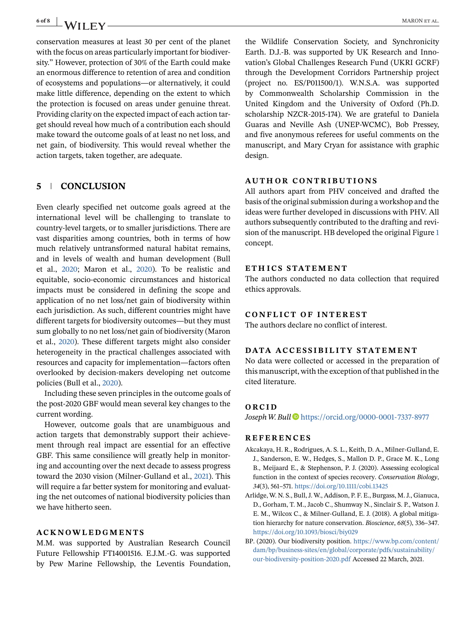<span id="page-5-0"></span>conservation measures at least 30 per cent of the planet with the focus on areas particularly important for biodiversity." However, protection of 30% of the Earth could make an enormous difference to retention of area and condition of ecosystems and populations—or alternatively, it could make little difference, depending on the extent to which the protection is focused on areas under genuine threat. Providing clarity on the expected impact of each action target should reveal how much of a contribution each should make toward the outcome goals of at least no net loss, and net gain, of biodiversity. This would reveal whether the action targets, taken together, are adequate.

## **5 CONCLUSION**

Even clearly specified net outcome goals agreed at the international level will be challenging to translate to country-level targets, or to smaller jurisdictions. There are vast disparities among countries, both in terms of how much relatively untransformed natural habitat remains, and in levels of wealth and human development (Bull et al., [2020;](#page-6-0) Maron et al., [2020\)](#page-6-0). To be realistic and equitable, socio-economic circumstances and historical impacts must be considered in defining the scope and application of no net loss/net gain of biodiversity within each jurisdiction. As such, different countries might have different targets for biodiversity outcomes—but they must sum globally to no net loss/net gain of biodiversity (Maron et al., [2020\)](#page-6-0). These different targets might also consider heterogeneity in the practical challenges associated with resources and capacity for implementation—factors often overlooked by decision-makers developing net outcome policies (Bull et al., [2020\)](#page-6-0).

Including these seven principles in the outcome goals of the post-2020 GBF would mean several key changes to the current wording.

However, outcome goals that are unambiguous and action targets that demonstrably support their achievement through real impact are essential for an effective GBF. This same consilience will greatly help in monitoring and accounting over the next decade to assess progress toward the 2030 vision (Milner-Gulland et al., [2021\)](#page-6-0). This will require a far better system for monitoring and evaluating the net outcomes of national biodiversity policies than we have hitherto seen.

## **ACKNOWLEDGMENTS**

M.M. was supported by Australian Research Council Future Fellowship FT14001516. E.J.M.-G. was supported by Pew Marine Fellowship, the Leventis Foundation,

the Wildlife Conservation Society, and Synchronicity Earth. D.J.-B. was supported by UK Research and Innovation's Global Challenges Research Fund (UKRI GCRF) through the Development Corridors Partnership project (project no. ES/P011500/1). W.N.S.A. was supported by Commonwealth Scholarship Commission in the United Kingdom and the University of Oxford (Ph.D. scholarship NZCR-2015-174). We are grateful to Daniela Guaras and Neville Ash (UNEP-WCMC), Bob Pressey, and five anonymous referees for useful comments on the manuscript, and Mary Cryan for assistance with graphic design.

#### **AUTHOR CONTRIBUTIONS**

All authors apart from PHV conceived and drafted the basis of the original submission during a workshop and the ideas were further developed in discussions with PHV. All authors subsequently contributed to the drafting and revision of the manuscript. HB developed the original Figure [1](#page-3-0) concept.

### **ETH ICS STATEMENT**

The authors conducted no data collection that required ethics approvals.

#### **CONFLICT OF INTEREST**

The authors declare no conflict of interest.

### **DATA ACCESSIBILITY STATEMENT**

No data were collected or accessed in the preparation of this manuscript, with the exception of that published in the cited literature.

## **ORCID**

*JosephW. Bull* <https://orcid.org/0000-0001-7337-8977>

## **REFERENCES**

- Akcakaya, H. R., Rodrigues, A. S. L., Keith, D. A., Milner-Gulland, E. J., Sanderson, E. W., Hedges, S., Mallon D. P., Grace M. K., Long B., Meijaard E., & Stephenson, P. J. (2020). Assessing ecological function in the context of species recovery. *Conservation Biology*, *34*(3), 561–571. <https://doi.org/10.1111/cobi.13425>
- Arlidge, W. N. S., Bull, J. W., Addison, P. F. E., Burgass, M. J., Gianuca, D., Gorham, T. M., Jacob C., Shumway N., Sinclair S. P., Watson J. E. M., Wilcox C., & Milner-Gulland, E. J. (2018). A global mitigation hierarchy for nature conservation. *Bioscience*, *68*(5), 336–347. <https://doi.org/10.1093/biosci/biy029>
- BP. (2020). Our biodiversity position. [https://www.bp.com/content/](https://www.bp.com/content/dam/bp/business-sites/en/global/corporate/pdfs/sustainability/our-biodiversity-position-2020.pdf) [dam/bp/business-sites/en/global/corporate/pdfs/sustainability/](https://www.bp.com/content/dam/bp/business-sites/en/global/corporate/pdfs/sustainability/our-biodiversity-position-2020.pdf) [our-biodiversity-position-2020.pdf](https://www.bp.com/content/dam/bp/business-sites/en/global/corporate/pdfs/sustainability/our-biodiversity-position-2020.pdf) Accessed 22 March, 2021.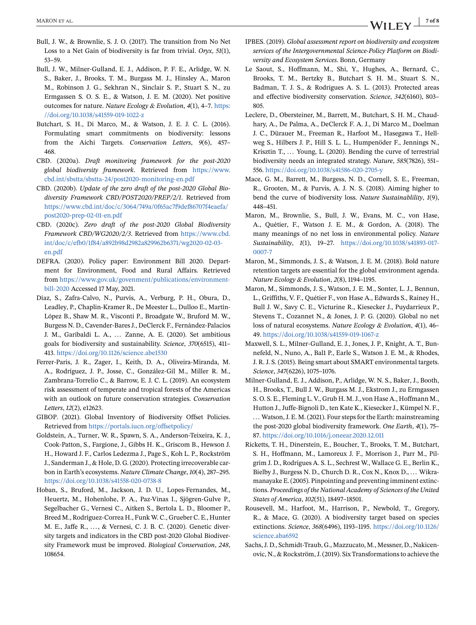- <span id="page-6-0"></span>Bull, J. W., & Brownlie, S. J. O. (2017). The transition from No Net Loss to a Net Gain of biodiversity is far from trivial. *Oryx*, *51*(1), 53–59.
- Bull, J. W., Milner-Gulland, E. J., Addison, P. F. E., Arlidge, W. N. S., Baker, J., Brooks, T. M., Burgass M. J., Hinsley A., Maron M., Robinson J. G., Sekhran N., Sinclair S. P., Stuart S. N., zu Ermgassen S. O. S. E., & Watson, J. E. M. (2020). Net positive outcomes for nature. *Nature Ecology & Evolution*, *4*(1), 4–7. [https:](https://doi.org/10.1038/s41559-019-1022-z) [//doi.org/10.1038/s41559-019-1022-z](https://doi.org/10.1038/s41559-019-1022-z)
- Butchart, S. H., Di Marco, M., & Watson, J. E. J. C. L. (2016). Formulating smart commitments on biodiversity: lessons from the Aichi Targets. *Conservation Letters*, *9*(6), 457– 468.
- CBD. (2020a). *Draft monitoring framework for the post-2020 global biodiversity framework*. Retrieved from [https://www.](https://www.cbd.int/sbstta/sbstta-24/post2020-monitoring-en.pdf) [cbd.int/sbstta/sbstta-24/post2020-monitoring-en.pdf](https://www.cbd.int/sbstta/sbstta-24/post2020-monitoring-en.pdf)
- CBD. (2020b). *Update of the zero draft of the post-2020 Global Biodiversity Framework CBD/POST2020/PREP/2/1*. Retrieved from [https://www.cbd.int/doc/c/3064/749a/0f65ac7f9def86707f4eaefa/](https://www.cbd.int/doc/c/3064/749a/0f65ac7f9def86707f4eaefa/post2020-prep-02-01-en.pdf) [post2020-prep-02-01-en.pdf](https://www.cbd.int/doc/c/3064/749a/0f65ac7f9def86707f4eaefa/post2020-prep-02-01-en.pdf)
- CBD. (2020c). *Zero draft of the post-2020 Global Biodiversity Framework CBD/WG2020/2/3*. Retrieved from [https://www.cbd.](https://www.cbd.int/doc/c/efb0/1f84/a892b98d2982a829962b6371/wg2020-02-03-en.pdf) [int/doc/c/efb0/1f84/a892b98d2982a829962b6371/wg2020-02-03](https://www.cbd.int/doc/c/efb0/1f84/a892b98d2982a829962b6371/wg2020-02-03-en.pdf) [en.pdf](https://www.cbd.int/doc/c/efb0/1f84/a892b98d2982a829962b6371/wg2020-02-03-en.pdf)
- DEFRA. (2020). Policy paper: Environment Bill 2020. Department for Environment, Food and Rural Affairs. Retrieved from [https://www.gov.uk/govenment/publications/environment](https://www.gov.uk/govenment/publications/environment-bill-2020)[bill-2020](https://www.gov.uk/govenment/publications/environment-bill-2020) Accessed 17 May, 2021.
- Díaz, S., Zafra-Calvo, N., Purvis, A., Verburg, P. H., Obura, D., Leadley, P., Chaplin-Kramer R., De Meester L., Dulloo E., Martín-López B., Shaw M. R., Visconti P., Broadgate W., Bruford M. W., Burgess N. D., Cavender-Bares J., DeClerck F., Fernández-Palacios J. M., Garibaldi L. A., ... Zanne, A. E. (2020). Set ambitious goals for biodiversity and sustainability. *Science*, *370*(6515), 411– 413. <https://doi.org/10.1126/science.abe1530>
- Ferrer-Paris, J. R., Zager, I., Keith, D. A., Oliveira-Miranda, M. A., Rodríguez, J. P., Josse, C., González-Gil M., Miller R. M., Zambrana-Torrelio C., & Barrow, E. J. C. L. (2019). An ecosystem risk assessment of temperate and tropical forests of the Americas with an outlook on future conservation strategies. *Conservation Letters*, *12*(2), e12623.
- GIBOP. (2021). Global Inventory of Biodiversity Offset Policies. Retrieved from <https://portals.iucn.org/offsetpolicy/>
- Goldstein, A., Turner, W. R., Spawn, S. A., Anderson-Teixeira, K. J., Cook-Patton, S., Fargione, J., Gibbs H. K., Griscom B., Hewson J. H., Howard J. F., Carlos Ledezma J., Page S., Koh L. P., Rockström J., Sanderman J., & Hole, D. G. (2020). Protecting irrecoverable carbon in Earth's ecosystems. *Nature Climate Change*, *10*(4), 287–295. <https://doi.org/10.1038/s41558-020-0738-8>
- Hoban, S., Bruford, M., Jackson, J. D. U., Lopes-Fernandes, M., Heuertz, M., Hohenlohe, P. A., Paz-Vinas I., Sjögren-Gulve P., Segelbacher G., Vernesi C., Aitken S., Bertola L. D., Bloomer P., Breed M., Rodríguez-Correa H., Funk W. C., Grueber C. E., Hunter M. E., Jaffe R., ..., & Vernesi, C. J. B. C. (2020). Genetic diversity targets and indicators in the CBD post-2020 Global Biodiversity Framework must be improved. *Biological Conservation*, *248*, 108654.
- IPBES. (2019). *Global assessment report on biodiversity and ecosystem services of the Intergovernmental Science-Policy Platform on Biodiversity and Ecosystem Services*. Bonn, Germany
- Le Saout, S., Hoffmann, M., Shi, Y., Hughes, A., Bernard, C., Brooks, T. M., Bertzky B., Butchart S. H. M., Stuart S. N., Badman, T. J. S., & Rodrigues A. S. L. (2013). Protected areas and effective biodiversity conservation. *Science*, *342*(6160), 803– 805.
- Leclere, D., Obersteiner, M., Barrett, M., Butchart, S. H. M., Chaudhary, A., De Palma, A., DeClerck F. A. J., Di Marco M., Doelman J. C., Dürauer M., Freeman R., Harfoot M., Hasegawa T., Hellweg S., Hilbers J. P., Hill S. L. L., Humpenöder F., Jennings N., Krisztin T., ... Young, L. (2020). Bending the curve of terrestrial biodiversity needs an integrated strategy. *Nature*, *585*(7826), 551– 556. <https://doi.org/10.1038/s41586-020-2705-y>
- Mace, G. M., Barrett, M., Burgess, N. D., Cornell, S. E., Freeman, R., Grooten, M., & Purvis, A. J. N. S. (2018). Aiming higher to bend the curve of biodiversity loss. *Nature Sustainablility*, *1*(9), 448–451.
- Maron, M., Brownlie, S., Bull, J. W., Evans, M. C., von Hase, A., Quétier, F., Watson J. E. M., & Gordon, A. (2018). The many meanings of no net loss in environmental policy. *Nature Sustainability*, *1*(1), 19–27. [https://doi.org/10.1038/s41893-017-](https://doi.org/10.1038/s41893-017-0007-7) [0007-7](https://doi.org/10.1038/s41893-017-0007-7)
- Maron, M., Simmonds, J. S., & Watson, J. E. M. (2018). Bold nature retention targets are essential for the global environment agenda. *Nature Ecology & Evolution*, *2*(8), 1194–1195.
- Maron, M., Simmonds, J. S., Watson, J. E. M., Sonter, L. J., Bennun, L., Griffiths, V. F., Quétier F., von Hase A., Edwards S., Rainey H., Bull J. W., Savy C. E., Victurine R., Kiesecker J., Puydarrieux P., Stevens T., Cozannet N., & Jones, J. P. G. (2020). Global no net loss of natural ecosystems. *Nature Ecology & Evolution*, *4*(1), 46– 49. <https://doi.org/10.1038/s41559-019-1067-z>
- Maxwell, S. L., Milner-Gulland, E. J., Jones, J. P., Knight, A. T., Bunnefeld, N., Nuno, A., Bal1 P., Earle S., Watson J. E. M., & Rhodes, J. R. J. S. (2015). Being smart about SMART environmental targets. *Science*, *347*(6226), 1075–1076.
- Milner-Gulland, E. J., Addison, P., Arlidge, W. N. S., Baker, J., Booth, H., Brooks, T., Bull J. W., Burgass M. J., Ekstrom J., zu Ermgassen S. O. S. E., Fleming L. V., Grub H. M. J., von Hase A., Hoffmann M., Hutton J., Juffe-Bignoli D., ten Kate K., Kiesecker J., Kümpel N. F., ... Watson, J. E. M. (2021). Four steps for the Earth: mainstreaming the post-2020 global biodiversity framework. *One Earth*, *4*(1), 75– 87. <https://doi.org/10.1016/j.oneear.2020.12.011>
- Ricketts, T. H., Dinerstein, E., Boucher, T., Brooks, T. M., Butchart, S. H., Hoffmann, M., Lamoreux J. F., Morrison J., Parr M., Pilgrim J. D., Rodrigues A. S. L., Sechrest W., Wallace G. E., Berlin K., Bielby J., Burgess N. D., Church D. R., Cox N., Knox D., ... Wikramanayake E. (2005). Pinpointing and preventing imminent extinctions. *Proceedings of the National Academy of Sciences of the United States of America*, *102*(51), 18497–18501.
- Rousevell, M., Harfoot, M., Harrison, P., Newbold, T., Gregory, R., & Mace, G. (2020). A biodiversity target based on species extinctions. *Science*, *368*(6496), 1193–1195. [https://doi.org/10.1126/](https://doi.org/10.1126/science.aba6592) [science.aba6592](https://doi.org/10.1126/science.aba6592)
- Sachs, J. D., Schmidt-Traub, G., Mazzucato, M., Messner, D., Nakicenovic, N., & Rockström, J. (2019). Six Transformations to achieve the